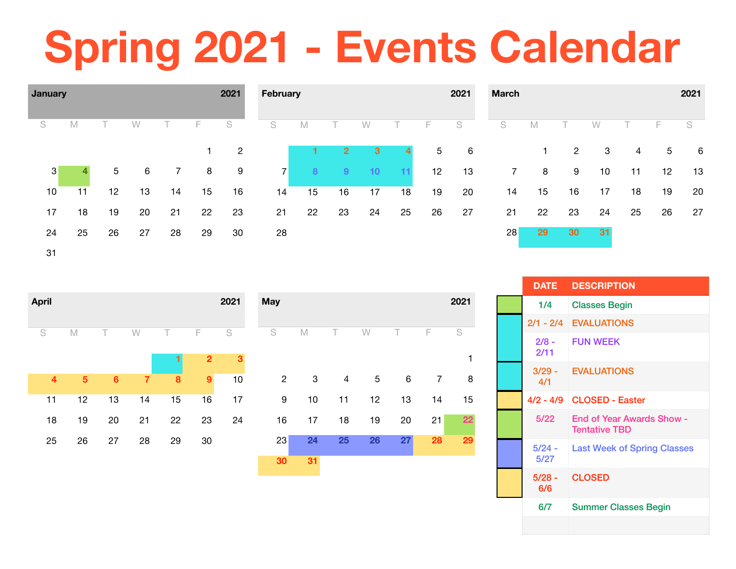# **Spring 2021 - Events Calendar**



| <b>April</b>            |                |                |                |    |                | 2021 | <b>May</b> |                |    |    |                 |                 |                | 2021 |
|-------------------------|----------------|----------------|----------------|----|----------------|------|------------|----------------|----|----|-----------------|-----------------|----------------|------|
| S                       | M              | Τ              | W              | Τ  | F              | S    | S          |                | M  | T. | W               | Τ               | F              | S    |
|                         |                |                |                |    | $\overline{2}$ | 3    |            |                |    |    |                 |                 |                |      |
| $\overline{\mathbf{4}}$ | $\overline{5}$ | $6\phantom{a}$ | $\overline{7}$ | 8  | 9              | 10   |            | $\overline{2}$ | 3  | 4  | $5\phantom{.0}$ | $6\phantom{1}6$ | $\overline{7}$ | 8    |
| 11                      | 12             | 13             | 14             | 15 | 16             | 17   |            | 9              | 10 | 11 | 12              | 13              | 14             | 15   |
| 18                      | 19             | 20             | 21             | 22 | 23             | 24   |            | 16             | 17 | 18 | 19              | 20              | 21             | 22   |
| 25                      | 26             | 27             | 28             | 29 | 30             |      |            | 23             | 24 | 25 | 26              | 27              | 28             | 29   |
|                         |                |                |                |    |                |      |            | 30             | 31 |    |                 |                 |                |      |

| <b>DATE</b>      | <b>DESCRIPTION</b>                                       |
|------------------|----------------------------------------------------------|
| 1/4              | <b>Classes Begin</b>                                     |
|                  | 2/1 - 2/4 EVALUATIONS                                    |
| $2/8 -$<br>2/11  | <b>FUN WEEK</b>                                          |
| 4/1              | 3/29 - EVALUATIONS                                       |
|                  | 4/2 - 4/9 CLOSED - Easter                                |
| 5/22             | <b>End of Year Awards Show -</b><br><b>Tentative TBD</b> |
| $5/24 -$<br>5/27 | <b>Last Week of Spring Classes</b>                       |
| $5/28 -$<br>6/6  | <b>CLOSED</b>                                            |
| 6/7              | <b>Summer Classes Begin</b>                              |
|                  |                                                          |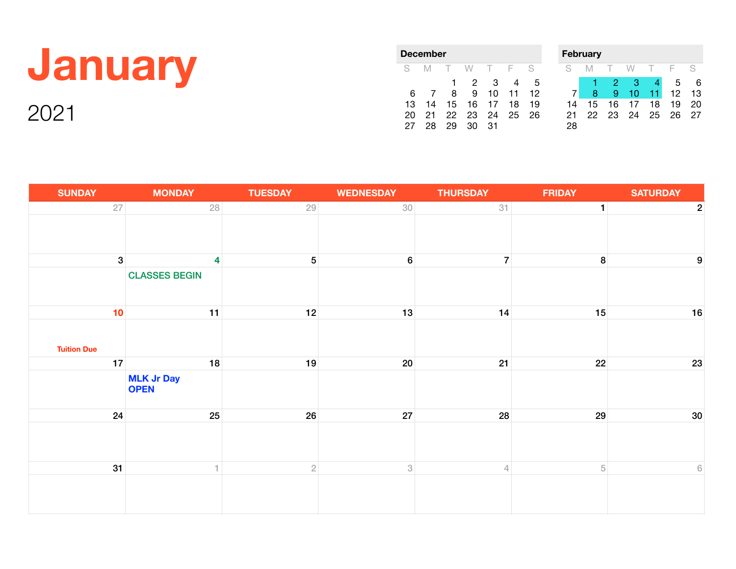## **January**

| December |     |        |    |    |     |    |  |  |  |  |
|----------|-----|--------|----|----|-----|----|--|--|--|--|
| S        | IM. | $\top$ | W. | т  | - F | S  |  |  |  |  |
|          |     | 1      | 2  | З  |     | 5  |  |  |  |  |
| 6        |     | 8      | 9  | 10 | 11  | 12 |  |  |  |  |
| 13       | 14  | 15     | 16 | 17 | 18  | 19 |  |  |  |  |
| 20       | 21  | 22     | 23 | 24 | 25  | 26 |  |  |  |  |
|          | 28  | 29     | O  | 31 |     |    |  |  |  |  |

|    | <b>February</b> |    |    |    |    |    |  |  |  |  |
|----|-----------------|----|----|----|----|----|--|--|--|--|
| S  |                 | ı  | W  | т  | E  | S  |  |  |  |  |
|    |                 | 2  | З  |    | 5  | 6  |  |  |  |  |
|    | 8               | 9  | 10 | 11 | 12 | 13 |  |  |  |  |
| 14 | 15              | 16 | 17 | 18 | 19 | 20 |  |  |  |  |
| 21 | 22              | 23 | 24 | 25 | 26 | 27 |  |  |  |  |
| 28 |                 |    |    |    |    |    |  |  |  |  |

| <b>SUNDAY</b>      | <b>MONDAY</b>                    | <b>TUESDAY</b> | <b>WEDNESDAY</b>          | <b>THURSDAY</b> | <b>FRIDAY</b> | <b>SATURDAY</b>  |
|--------------------|----------------------------------|----------------|---------------------------|-----------------|---------------|------------------|
| $27\,$             | 28                               | 29             | 30                        | 31              | $\mathbf{1}$  | $\mathbf{2}$     |
|                    |                                  |                |                           |                 |               |                  |
| $\boldsymbol{3}$   | 4                                | $\sqrt{5}$     | $\bf 6$                   | $\overline{7}$  | 8             | 9                |
|                    | <b>CLASSES BEGIN</b>             |                |                           |                 |               |                  |
| 10                 | 11                               | 12             | 13                        | 14              | 15            | 16               |
| <b>Tuition Due</b> |                                  |                |                           |                 |               |                  |
| 17                 | 18                               | 19             | 20 <sub>2</sub>           | 21              | 22            | 23               |
|                    | <b>MLK Jr Day</b><br><b>OPEN</b> |                |                           |                 |               |                  |
| 24                 | 25                               | 26             | ${\bf 27}$                | 28              | 29            | 30               |
|                    |                                  |                |                           |                 |               |                  |
| 31                 | 1.                               | $\overline{2}$ | $\ensuremath{\mathbf{3}}$ | $\overline{4}$  | 5             | $6 \overline{6}$ |
|                    |                                  |                |                           |                 |               |                  |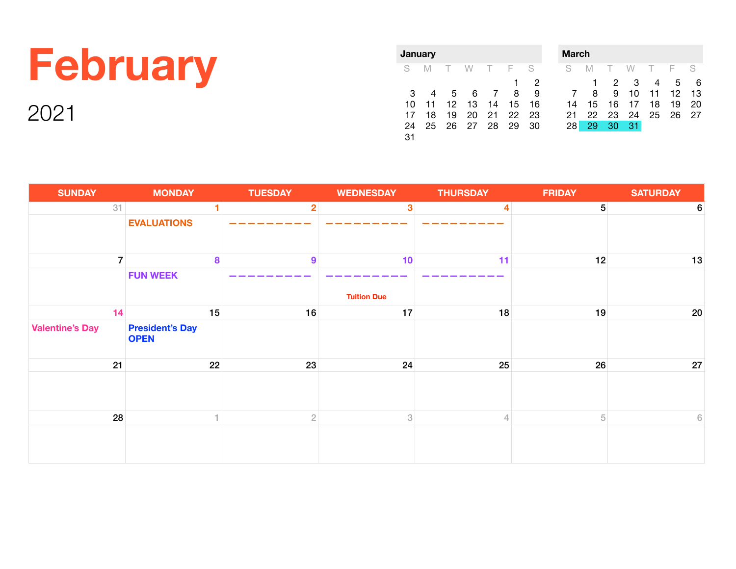### **February**

2021

|    | January |        |    |                |     |    |  |  |  |  |
|----|---------|--------|----|----------------|-----|----|--|--|--|--|
| S  | M       | $\top$ | W  | $\top$         | - F | S  |  |  |  |  |
|    |         |        |    |                | 1   | 2  |  |  |  |  |
| З  |         | 5      | 6  | $\overline{7}$ | 8   | 9  |  |  |  |  |
| 10 | 11      | 12     | 13 | 14             | 15  | 16 |  |  |  |  |
| 17 | 18      | 19     | 20 | 21             | 22  | 23 |  |  |  |  |
| 24 | 25      | 26     | 27 | 28             | 29  | 30 |  |  |  |  |
| 31 |         |        |    |                |     |    |  |  |  |  |

| March |    |    |    |    |     |  |  |  |  |  |
|-------|----|----|----|----|-----|--|--|--|--|--|
| M     | T  | W  | т  |    | S   |  |  |  |  |  |
|       | 2  | З  |    | 5  | 6   |  |  |  |  |  |
| 8     | 9  | 10 | 11 | 12 | 13  |  |  |  |  |  |
| 15    | 16 | 17 | 18 | 19 | 20  |  |  |  |  |  |
| 22    | 23 | 24 | 25 | 26 | 27  |  |  |  |  |  |
| 29    | 30 | 31 |    |    |     |  |  |  |  |  |
|       |    |    |    |    | - F |  |  |  |  |  |

| <b>SUNDAY</b>          | <b>MONDAY</b>                         | <b>TUESDAY</b>   | <b>WEDNESDAY</b>          | <b>THURSDAY</b>         | <b>FRIDAY</b>  | <b>SATURDAY</b> |
|------------------------|---------------------------------------|------------------|---------------------------|-------------------------|----------------|-----------------|
| 31                     |                                       | 2 <sub>1</sub>   | $\mathbf{3}$              | $\overline{\mathbf{4}}$ | 5 <sup>5</sup> | 6               |
|                        | <b>EVALUATIONS</b>                    |                  |                           |                         |                |                 |
| $\overline{7}$         | 8                                     | $\boldsymbol{9}$ | 10                        | 11                      | 12             | 13              |
|                        | <b>FUN WEEK</b>                       |                  |                           |                         |                |                 |
|                        |                                       |                  | <b>Tuition Due</b>        |                         |                |                 |
| 14                     | 15                                    | 16               | 17                        | 18                      | 19             | $20\,$          |
| <b>Valentine's Day</b> | <b>President's Day</b><br><b>OPEN</b> |                  |                           |                         |                |                 |
| 21                     | 22                                    | 23               | 24                        | 25                      | 26             | 27              |
|                        |                                       |                  |                           |                         |                |                 |
| 28                     |                                       | $\overline{2}$   | $\ensuremath{\mathbf{3}}$ | $\overline{4}$          | 5 <sup>5</sup> | $6 \,$          |
|                        |                                       |                  |                           |                         |                |                 |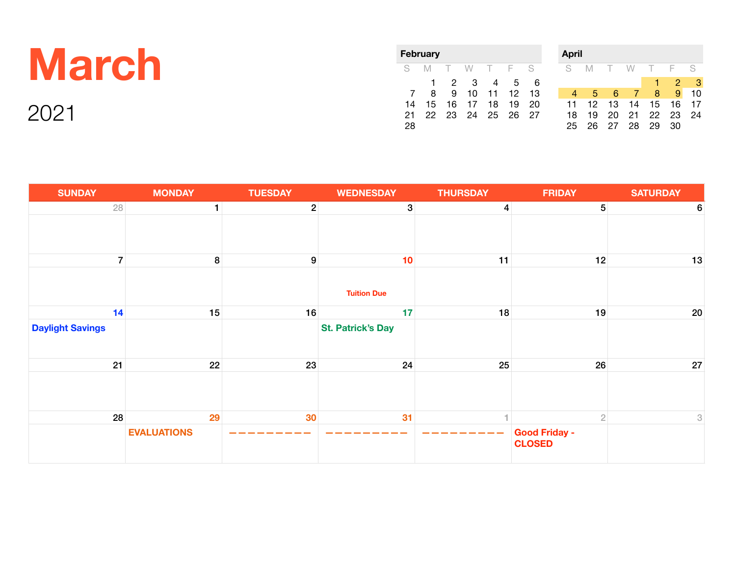### **March**

|    | February |        |    |        |     |    |
|----|----------|--------|----|--------|-----|----|
| S  | M        | $\Box$ | W. | $\top$ | - F | S  |
|    |          | 2      | З  | 4      | 5   | 6  |
|    | 8        | 9      | 10 | 11     | -12 | 13 |
| 14 | 15       | 16     | 17 | 18     | 19  | 20 |
| 21 | 22       | 23     | 24 | 25     | 26  | 27 |
| 28 |          |        |    |        |     |    |

| April |    |        |           |    |    |    |  |  |  |  |
|-------|----|--------|-----------|----|----|----|--|--|--|--|
| S     | M  | $\top$ | W         |    | E  | S  |  |  |  |  |
|       |    |        |           | 4  | 2  | з  |  |  |  |  |
|       | 5  | 6      | $\bullet$ | 8  | 9  | 10 |  |  |  |  |
| 11    | 12 | 13     | 14        | 15 | 16 | 17 |  |  |  |  |
| 18    | 19 | 20     | 21        | 22 | 23 | 24 |  |  |  |  |
| 25    | 26 | 27     | 28        | 29 | 30 |    |  |  |  |  |

| <b>SUNDAY</b>           | <b>MONDAY</b>      | <b>TUESDAY</b> | <b>WEDNESDAY</b>         | <b>THURSDAY</b> | <b>FRIDAY</b>                         | <b>SATURDAY</b>           |
|-------------------------|--------------------|----------------|--------------------------|-----------------|---------------------------------------|---------------------------|
| 28                      | $\mathbf{1}$       | $\mathbf{2}$   | $\mathbf{3}$             | $\overline{4}$  | 5 <sup>5</sup>                        | 6                         |
|                         |                    |                |                          |                 |                                       |                           |
| $\overline{7}$          | 8                  | 9              | 10                       | 11              | 12                                    | 13                        |
|                         |                    |                | <b>Tuition Due</b>       |                 |                                       |                           |
| 14                      | 15                 | 16             | 17                       | 18              | 19                                    | $20\,$                    |
| <b>Daylight Savings</b> |                    |                | <b>St. Patrick's Day</b> |                 |                                       |                           |
| 21                      | 22                 | 23             | 24                       | 25              | 26                                    | $27\,$                    |
|                         |                    |                |                          |                 |                                       |                           |
| 28                      | 29                 | 30             | 31                       |                 | $\overline{2}$                        | $\ensuremath{\mathsf{3}}$ |
|                         | <b>EVALUATIONS</b> |                |                          |                 | <b>Good Friday -</b><br><b>CLOSED</b> |                           |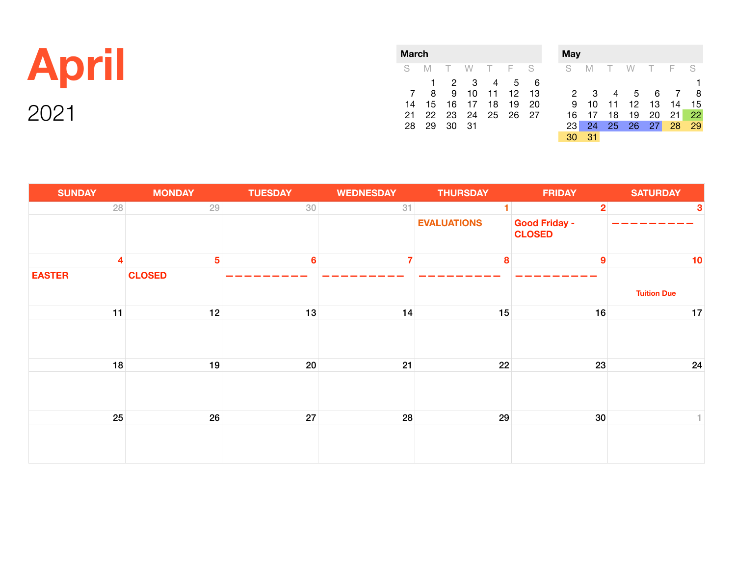#### **April**

| March |              |        |       |       |     |    |  |  |  |  |
|-------|--------------|--------|-------|-------|-----|----|--|--|--|--|
| S     | IМ.          | $\top$ | W.    | - T F |     | -S |  |  |  |  |
|       | $\mathbf{1}$ | 2      | 3     | 4     | 5   | 6  |  |  |  |  |
| 7     | 8            | 9      | 10    | 11 12 |     | 13 |  |  |  |  |
| 14    | 15           |        | 16 17 | 18    | 19  | 20 |  |  |  |  |
| 21    | 22.          | 23     | 24 25 |       | 26. | 27 |  |  |  |  |
| 28    | 29           | 30     | -31   |       |     |    |  |  |  |  |

| May |    |    |    |        |     |    |
|-----|----|----|----|--------|-----|----|
| S   | M  | T  | W  | $\top$ | - F | S  |
|     |    |    |    |        |     |    |
| 2   | 3  |    | 5  | 6      |     | 8  |
| 9   | 10 | 11 | 12 | 13     | 14  | 15 |
| 16  | 17 | 18 | 19 | 20     | 21  | 22 |
| 23  | 24 | 25 | 26 | 27     | 28  | 29 |
| 30  | 31 |    |    |        |     |    |

| <b>SUNDAY</b>           | <b>MONDAY</b>   | <b>TUESDAY</b>  | <b>WEDNESDAY</b> | <b>THURSDAY</b>    | <b>FRIDAY</b>                         | <b>SATURDAY</b>    |
|-------------------------|-----------------|-----------------|------------------|--------------------|---------------------------------------|--------------------|
| 28                      | 29              | 30              | 31               | 4                  | $\overline{2}$                        | $\mathbf{3}$       |
|                         |                 |                 |                  | <b>EVALUATIONS</b> | <b>Good Friday -</b><br><b>CLOSED</b> |                    |
| $\overline{\mathbf{4}}$ | $5\phantom{.0}$ | $6\phantom{1}6$ | 7                | 8                  | $\boldsymbol{9}$                      | 10                 |
| <b>EASTER</b>           | <b>CLOSED</b>   |                 |                  |                    |                                       | <b>Tuition Due</b> |
| 11                      | 12              | 13              | 14               | 15                 | 16                                    | 17                 |
|                         |                 |                 |                  |                    |                                       |                    |
| 18                      | 19              | 20              | 21               | 22                 | 23                                    | 24                 |
|                         |                 |                 |                  |                    |                                       |                    |
| 25                      | 26              | 27              | 28               | 29                 | 30 <sup>°</sup>                       | 1.                 |
|                         |                 |                 |                  |                    |                                       |                    |